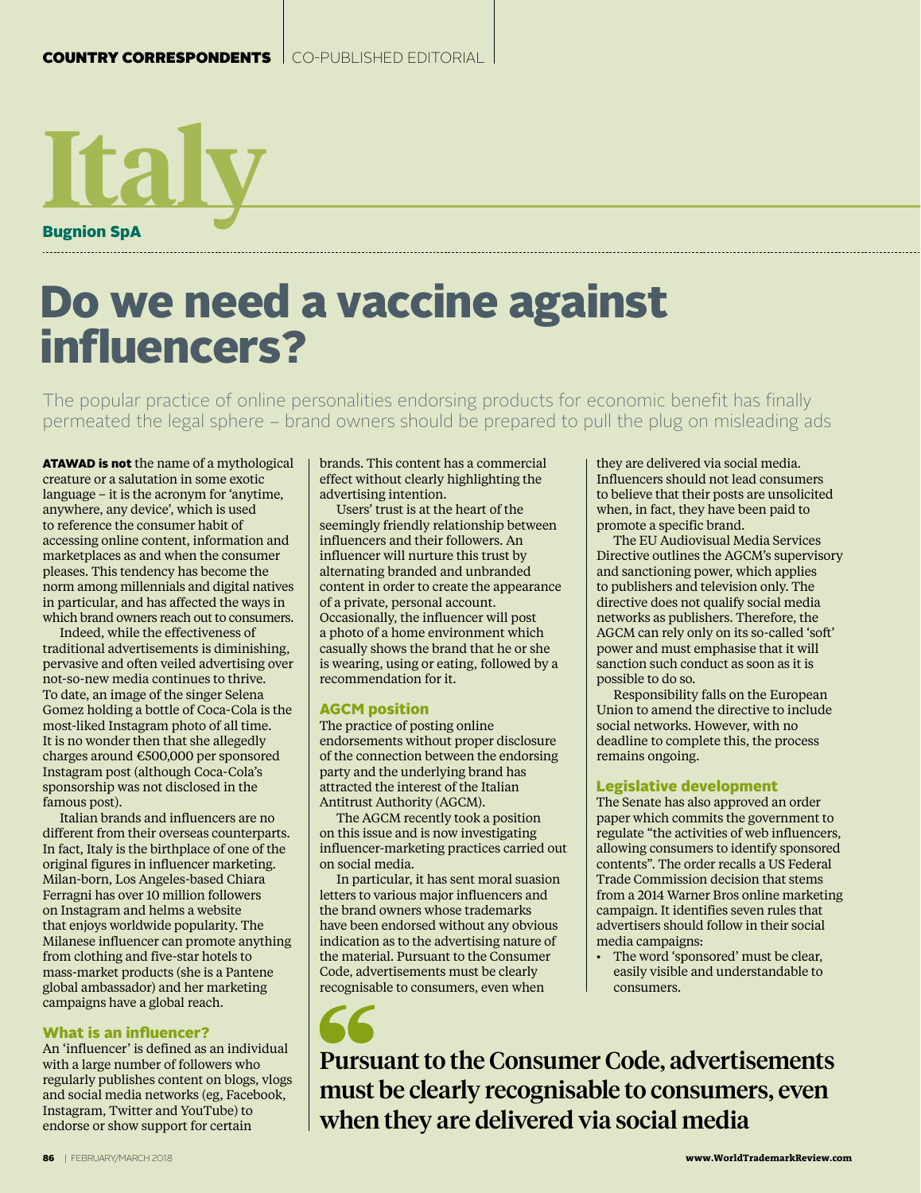

# Do we need a vaccine against influencers?

The popular practice of online personalities endorsing products for economic benefit has finally permeated the legal sphere – brand owners should be prepared to pull the plug on misleading ads

ATAWAD is not the name of a mythological creature or a salutation in some exotic language – it is the acronym for 'anytime, anywhere, any device', which is used to reference the consumer habit of accessing online content, information and marketplaces as and when the consumer pleases. This tendency has become the norm among millennials and digital natives in particular, and has affected the ways in which brand owners reach out to consumers.

Indeed, while the effectiveness of traditional advertisements is diminishing, pervasive and often veiled advertising over not-so-new media continues to thrive. To date, an image of the singer Selena Gomez holding a bottle of Coca-Cola is the most-liked Instagram photo of all time. It is no wonder then that she allegedly charges around €500,000 per sponsored Instagram post (although Coca-Cola's sponsorship was not disclosed in the famous post).

Italian brands and influencers are no different from their overseas counterparts. In fact, Italy is the birthplace of one of the original figures in influencer marketing. Milan-born, Los Angeles-based Chiara Ferragni has over 10 million followers on Instagram and helms a website that enjoys worldwide popularity. The Milanese influencer can promote anything from clothing and five-star hotels to mass-market products (she is a Pantene global ambassador) and her marketing campaigns have a global reach.

#### What is an influencer?

An 'influencer' is defined as an individual with a large number of followers who regularly publishes content on blogs, vlogs and social media networks (eg, Facebook, Instagram, Twitter and YouTube) to endorse or show support for certain

brands. This content has a commercial effect without clearly highlighting the advertising intention.

Users' trust is at the heart of the seemingly friendly relationship between influencers and their followers. An influencer will nurture this trust by alternating branded and unbranded content in order to create the appearance of a private, personal account. Occasionally, the influencer will post a photo of a home environment which casually shows the brand that he or she is wearing, using or eating, followed by a recommendation for it.

#### AGCM position

The practice of posting online endorsements without proper disclosure of the connection between the endorsing party and the underlying brand has attracted the interest of the Italian Antitrust Authority (AGCM).

The AGCM recently took a position on this issue and is now investigating influencer-marketing practices carried out on social media.

In particular, it has sent moral suasion letters to various major influencers and the brand owners whose trademarks have been endorsed without any obvious indication as to the advertising nature of the material. Pursuant to the Consumer Code, advertisements must be clearly recognisable to consumers, even when

they are delivered via social media. Influencers should not lead consumers to believe that their posts are unsolicited when, in fact, they have been paid to promote a specific brand.

The EU Audiovisual Media Services Directive outlines the AGCM's supervisory and sanctioning power, which applies to publishers and television only. The directive does not qualify social media networks as publishers. Therefore, the AGCM can rely only on its so-called 'soft' power and must emphasise that it will sanction such conduct as soon as it is possible to do so.

Responsibility falls on the European Union to amend the directive to include social networks. However, with no deadline to complete this, the process remains ongoing.

#### Legislative development

The Senate has also approved an order paper which commits the government to regulate "the activities of web influencers, allowing consumers to identify sponsored contents". The order recalls a US Federal Trade Commission decision that stems from a 2014 Warner Bros online marketing campaign. It identifies seven rules that advertisers should follow in their social media campaigns:

• The word 'sponsored' must be clear, easily visible and understandable to consumers.

Pursuant to the Consumer Code, advertisements must be clearly recognisable to consumers, even when they are delivered via social media